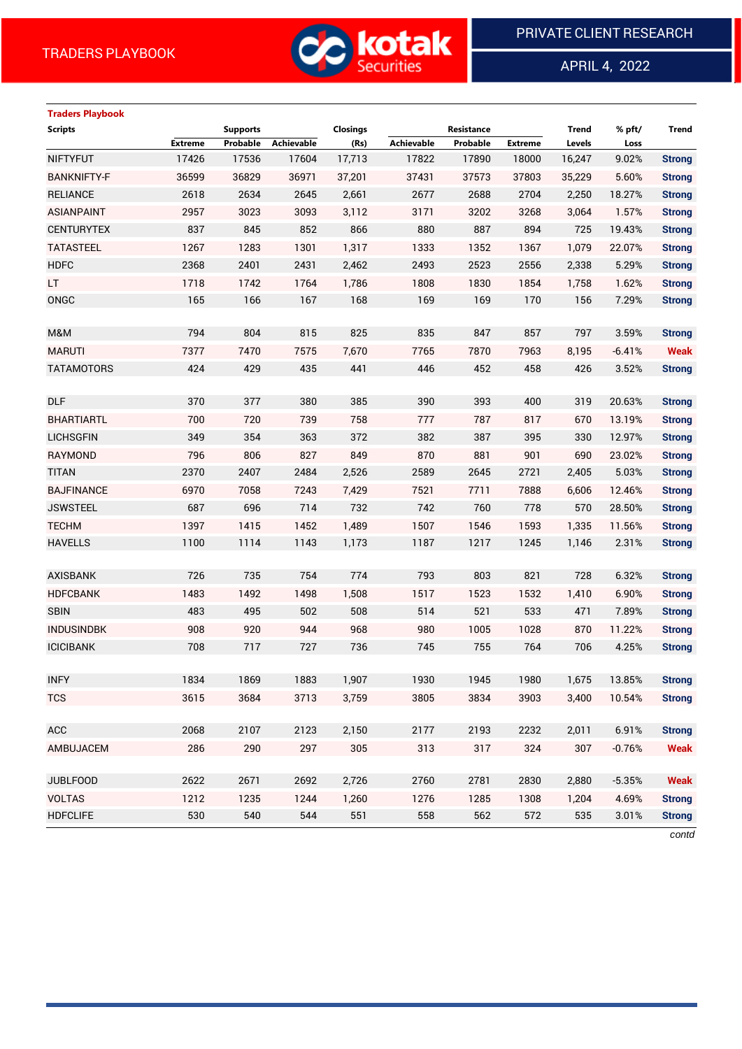**Traders Playbook**



APRIL 4, 2022

 $\overline{a}$ 

# **Scripts Supports Closings Resistance Trend % pft/ Trend Extreme Probable Achievable (Rs) Achievable Probable Extreme Levels Loss** NIFTYFUT 17426 17536 17604 17,713 17822 17890 18000 16,247 9.02% **Strong** BANKNIFTY-F 36599 36829 36971 37,201 37431 37573 37803 35,229 5.60% **Strong** RELIANCE 2618 2634 2645 2,661 2677 2688 2704 2,250 18.27% **Strong** ASIANPAINT 2957 3023 3093 3,112 3171 3202 3268 3,064 1.57% **Strong** CENTURYTEX 837 845 852 866 880 887 894 725 19.43% **Strong** TATASTEEL 1267 1283 1301 1,317 1333 1352 1367 1,079 22.07% **Strong** HDFC 2368 2401 2431 2,462 2493 2523 2556 2,338 5.29% **Strong** LT 1718 1742 1764 1,786 1808 1830 1854 1,758 1.62% **Strong** ONGC 165 166 167 168 169 169 170 156 7.29% **Strong** M&M 794 804 815 825 835 847 857 797 3.59% **Strong** MARUTI 7377 7470 7575 7,670 7765 7870 7963 8,195 -6.41% **Weak** TATAMOTORS 424 429 435 441 446 452 458 426 3.52% **Strong** DLF 370 377 380 385 390 393 400 319 20.63% **Strong** BHARTIARTL 700 720 739 758 777 787 817 670 13.19% **Strong** LICHSGFIN 349 354 363 372 382 387 395 330 12.97% **Strong** RAYMOND 796 806 827 849 870 881 901 690 23.02% **Strong** TITAN 2370 2407 2484 2,526 2589 2645 2721 2,405 5.03% **Strong** BAJFINANCE 6970 7058 7243 7,429 7521 7711 7888 6,606 12.46% **Strong** JSWSTEEL 687 696 714 732 742 760 778 570 28.50% **Strong** TECHM 1397 1415 1452 1,489 1507 1546 1593 1,335 11.56% **Strong** HAVELLS 1100 1114 1143 1,173 1187 1217 1245 1,146 2.31% **Strong** AXISBANK 726 735 754 774 793 803 821 728 6.32% **Strong** HDFCBANK 1483 1492 1498 1,508 1517 1523 1532 1,410 6.90% **Strong** SBIN 483 495 502 508 514 521 533 471 7.89% **Strong** INDUSINDBK 908 920 944 968 980 1005 1028 870 11.22% **Strong** ICICIBANK 708 717 727 736 745 755 764 706 4.25% **Strong** INFY 1834 1869 1883 1,907 1930 1945 1980 1,675 13.85% **Strong** TCS 3615 3684 3713 3,759 3805 3834 3903 3,400 10.54% **Strong** ACC 2068 2107 2123 2,150 2177 2193 2232 2,011 6.91% **Strong** AMBUJACEM 286 290 297 305 313 317 324 307 -0.76% **Weak** JUBLFOOD 2622 2671 2692 2,726 2760 2781 2830 2,880 -5.35% **Weak** VOLTAS 1212 1235 1244 1,260 1276 1285 1308 1,204 4.69% **Strong** HDFCLIFE 530 540 544 551 558 562 572 535 3.01% **Strong** *contd*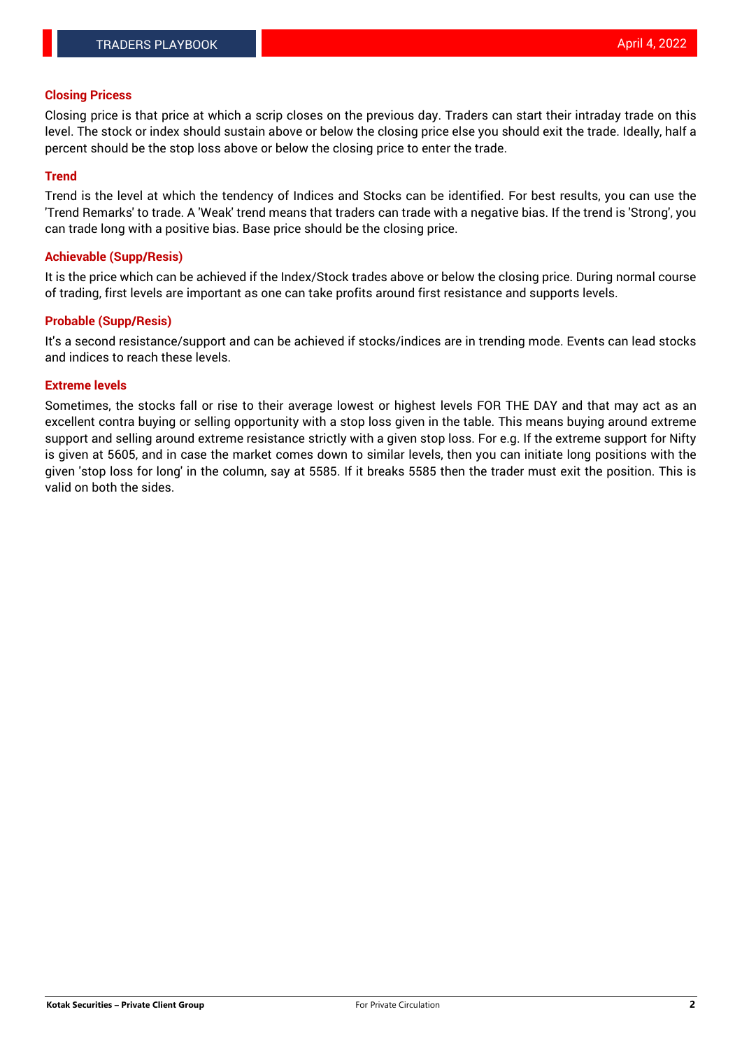## **Closing Pricess**

Closing price is that price at which a scrip closes on the previous day. Traders can start their intraday trade on this level. The stock or index should sustain above or below the closing price else you should exit the trade. Ideally, half a percent should be the stop loss above or below the closing price to enter the trade.

## **Trend**

Trend is the level at which the tendency of Indices and Stocks can be identified. For best results, you can use the 'Trend Remarks' to trade. A 'Weak' trend means that traders can trade with a negative bias. If the trend is 'Strong', you can trade long with a positive bias. Base price should be the closing price.

#### **Achievable (Supp/Resis)**

It is the price which can be achieved if the Index/Stock trades above or below the closing price. During normal course of trading, first levels are important as one can take profits around first resistance and supports levels.

## **Probable (Supp/Resis)**

It's a second resistance/support and can be achieved if stocks/indices are in trending mode. Events can lead stocks and indices to reach these levels.

#### **Extreme levels**

Sometimes, the stocks fall or rise to their average lowest or highest levels FOR THE DAY and that may act as an excellent contra buying or selling opportunity with a stop loss given in the table. This means buying around extreme support and selling around extreme resistance strictly with a given stop loss. For e.g. If the extreme support for Nifty is given at 5605, and in case the market comes down to similar levels, then you can initiate long positions with the given 'stop loss for long' in the column, say at 5585. If it breaks 5585 then the trader must exit the position. This is valid on both the sides.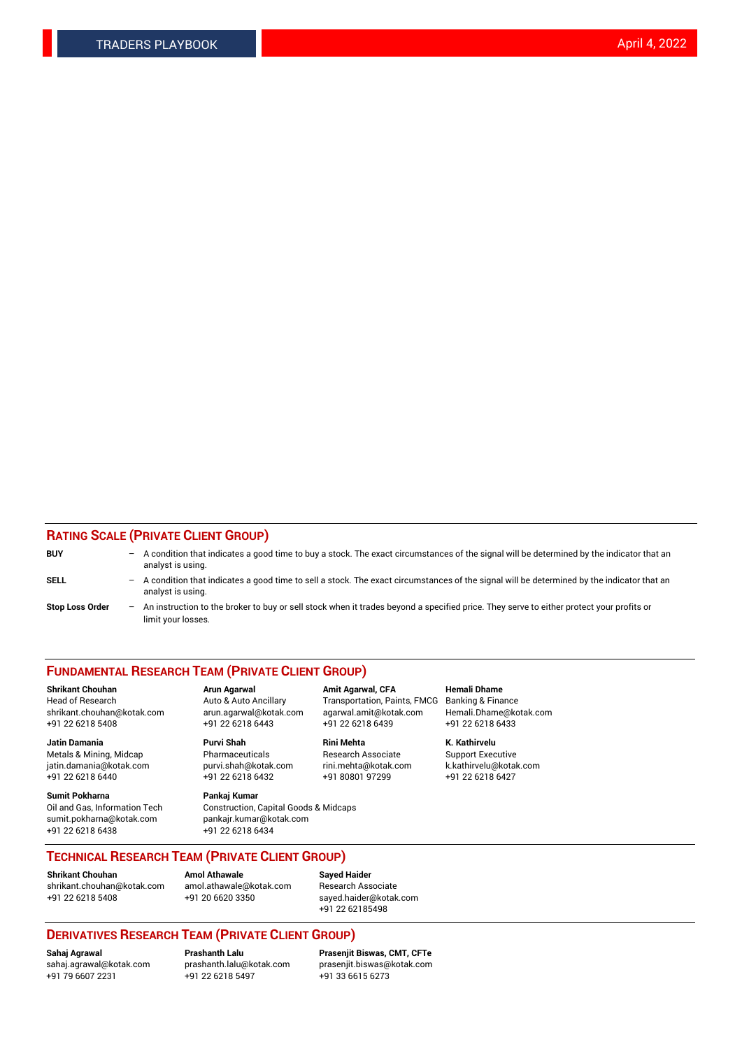## **RATING SCALE (PRIVATE CLIENT GROUP)**

| <b>BUY</b>             | -   | A condition that indicates a good time to buy a stock. The exact circumstances of the signal will be determined by the indicator that an<br>analyst is using.  |
|------------------------|-----|----------------------------------------------------------------------------------------------------------------------------------------------------------------|
| <b>SELL</b>            | -   | A condition that indicates a good time to sell a stock. The exact circumstances of the signal will be determined by the indicator that an<br>analyst is using. |
| <b>Stop Loss Order</b> | $-$ | An instruction to the broker to buy or sell stock when it trades beyond a specified price. They serve to either protect your profits or<br>limit your losses.  |

#### **FUNDAMENTAL RESEARCH TEAM (PRIVATE CLIENT GROUP)**

**Shrikant Chouhan Arun Agarwal Amit Agarwal, CFA Hemali Dhame** Head of Research Auto & Auto Ancillary Transportation, Paints, FMCG Banking & Finance shrikant.chouhan@kotak.com arun.agarwal@kotak.com agarwal.amit@kotak.com Hemali.Dhame@kotak.com

**Jatin Damania Purvi Shah Rini Mehta K. Kathirvelu** Metals & Mining, Midcap **Pharmaceuticals** Research Associate Support Executive jatin.damania@kotak.com [purvi.shah@kotak.com](mailto:purvi.shah@kotak.com) rini.mehta@kotak.com [k.kathirvelu@kotak.com](mailto:k.kathirvelu@kotak.com)  $+91$  22 6218 6440  $+91$  22 6218 6432

**Sumit Pokharna Pankaj Kumar** sumit.pokharna@kotak.com pankajr.kumar@kotak.com +91 22 6218 6438 +91 22 6218 6434

Oil and Gas, Information Tech Construction, Capital Goods & Midcaps

+91 22 6218 5408 +91 22 6218 6443 +91 22 6218 6439 +91 22 6218 6433

**TECHNICAL RESEARCH TEAM (PRIVATE CLIENT GROUP)**

[shrikant.chouhan@kotak.com](mailto:shrikant.chouhan@kotak.com) [amol.athawale@kotak.com](mailto:amol.athawale@kotak.com) Research Associate +91 22 6218 5408 +91 20 6620 3350 [sayed.haider@kotak.com](mailto:sayed.haider@kotak.com)

**Shrikant Chouhan Amol Athawale Sayed Haider**

+91 22 62185498

# **DERIVATIVES RESEARCH TEAM (PRIVATE CLIENT GROUP)**

 $+91$  22 6218 5497

**Sahaj Agrawal Prashanth Lalu Prasenjit Biswas, CMT, CFTe** [sahaj.agrawal@kotak.com](mailto:sahaj.agrawal@kotak.com) [prashanth.lalu@kotak.com](mailto:prashanth.lalu@kotak.com) [prasenjit.biswas@kotak.com](mailto:prasenjit.biswas@kotak.com)